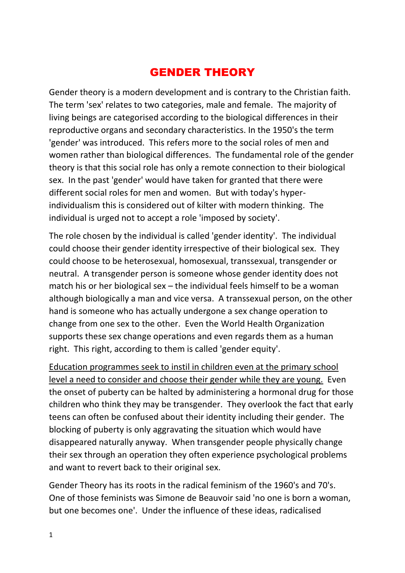## GENDER THEORY

Gender theory is a modern development and is contrary to the Christian faith. The term 'sex' relates to two categories, male and female. The majority of living beings are categorised according to the biological differences in their reproductive organs and secondary characteristics. In the 1950's the term 'gender' was introduced. This refers more to the social roles of men and women rather than biological differences. The fundamental role of the gender theory is that this social role has only a remote connection to their biological sex. In the past 'gender' would have taken for granted that there were different social roles for men and women. But with today's hyperindividualism this is considered out of kilter with modern thinking. The individual is urged not to accept a role 'imposed by society'.

The role chosen by the individual is called 'gender identity'. The individual could choose their gender identity irrespective of their biological sex. They could choose to be heterosexual, homosexual, transsexual, transgender or neutral. A transgender person is someone whose gender identity does not match his or her biological sex – the individual feels himself to be a woman although biologically a man and vice versa. A transsexual person, on the other hand is someone who has actually undergone a sex change operation to change from one sex to the other. Even the World Health Organization supports these sex change operations and even regards them as a human right. This right, according to them is called 'gender equity'.

Education programmes seek to instil in children even at the primary school level a need to consider and choose their gender while they are young. Even the onset of puberty can be halted by administering a hormonal drug for those children who think they may be transgender. They overlook the fact that early teens can often be confused about their identity including their gender. The blocking of puberty is only aggravating the situation which would have disappeared naturally anyway. When transgender people physically change their sex through an operation they often experience psychological problems and want to revert back to their original sex.

Gender Theory has its roots in the radical feminism of the 1960's and 70's. One of those feminists was Simone de Beauvoir said 'no one is born a woman, but one becomes one'. Under the influence of these ideas, radicalised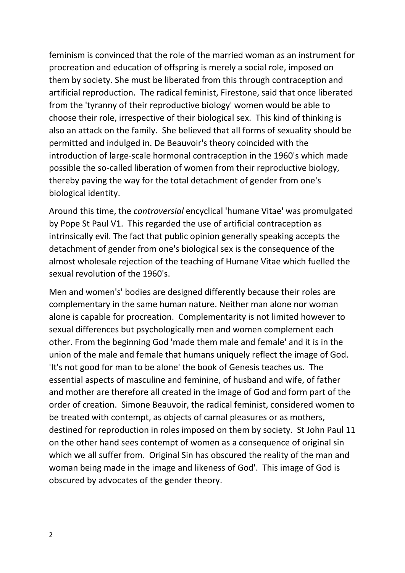feminism is convinced that the role of the married woman as an instrument for procreation and education of offspring is merely a social role, imposed on them by society. She must be liberated from this through contraception and artificial reproduction. The radical feminist, Firestone, said that once liberated from the 'tyranny of their reproductive biology' women would be able to choose their role, irrespective of their biological sex. This kind of thinking is also an attack on the family. She believed that all forms of sexuality should be permitted and indulged in. De Beauvoir's theory coincided with the introduction of large-scale hormonal contraception in the 1960's which made possible the so-called liberation of women from their reproductive biology, thereby paving the way for the total detachment of gender from one's biological identity.

Around this time, the *controversial* encyclical 'humane Vitae' was promulgated by Pope St Paul V1. This regarded the use of artificial contraception as intrinsically evil. The fact that public opinion generally speaking accepts the detachment of gender from one's biological sex is the consequence of the almost wholesale rejection of the teaching of Humane Vitae which fuelled the sexual revolution of the 1960's.

Men and women's' bodies are designed differently because their roles are complementary in the same human nature. Neither man alone nor woman alone is capable for procreation. Complementarity is not limited however to sexual differences but psychologically men and women complement each other. From the beginning God 'made them male and female' and it is in the union of the male and female that humans uniquely reflect the image of God. 'It's not good for man to be alone' the book of Genesis teaches us. The essential aspects of masculine and feminine, of husband and wife, of father and mother are therefore all created in the image of God and form part of the order of creation. Simone Beauvoir, the radical feminist, considered women to be treated with contempt, as objects of carnal pleasures or as mothers, destined for reproduction in roles imposed on them by society. St John Paul 11 on the other hand sees contempt of women as a consequence of original sin which we all suffer from. Original Sin has obscured the reality of the man and woman being made in the image and likeness of God'. This image of God is obscured by advocates of the gender theory.